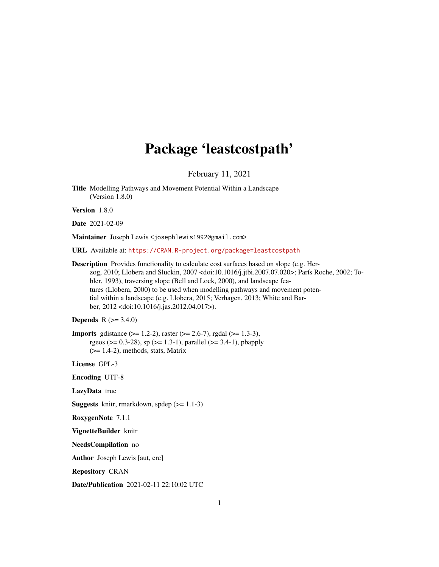# Package 'leastcostpath'

February 11, 2021

<span id="page-0-0"></span>Title Modelling Pathways and Movement Potential Within a Landscape (Version 1.8.0)

Version 1.8.0

```
Date 2021-02-09
```
Maintainer Joseph Lewis <josephlewis1992@gmail.com>

URL Available at: <https://CRAN.R-project.org/package=leastcostpath>

Description Provides functionality to calculate cost surfaces based on slope (e.g. Herzog, 2010; Llobera and Sluckin, 2007 <doi:10.1016/j.jtbi.2007.07.020>; París Roche, 2002; Tobler, 1993), traversing slope (Bell and Lock, 2000), and landscape features (Llobera, 2000) to be used when modelling pathways and movement potential within a landscape (e.g. Llobera, 2015; Verhagen, 2013; White and Barber, 2012 <doi:10.1016/j.jas.2012.04.017>).

# **Depends** R  $(>= 3.4.0)$

**Imports** gdistance  $(>= 1.2-2)$ , raster  $(>= 2.6-7)$ , rgdal  $(>= 1.3-3)$ , rgeos ( $> = 0.3-28$ ), sp ( $> = 1.3-1$ ), parallel ( $> = 3.4-1$ ), pbapply (>= 1.4-2), methods, stats, Matrix

License GPL-3

Encoding UTF-8

LazyData true

**Suggests** knitr, rmarkdown, spdep  $(>= 1.1-3)$ 

RoxygenNote 7.1.1

VignetteBuilder knitr

NeedsCompilation no

Author Joseph Lewis [aut, cre]

Repository CRAN

Date/Publication 2021-02-11 22:10:02 UTC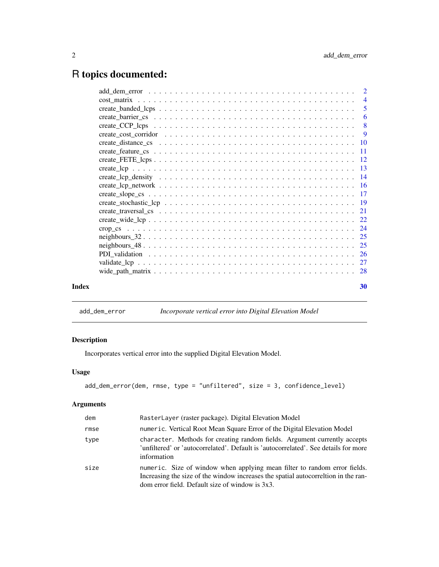# <span id="page-1-0"></span>R topics documented:

| Index | 30 |
|-------|----|

# add\_dem\_error *Incorporate vertical error into Digital Elevation Model*

# Description

Incorporates vertical error into the supplied Digital Elevation Model.

# Usage

```
add_dem_error(dem, rmse, type = "unfiltered", size = 3, confidence_level)
```

| dem  | RasterLayer (raster package). Digital Elevation Model                                                                                                                                                               |
|------|---------------------------------------------------------------------------------------------------------------------------------------------------------------------------------------------------------------------|
| rmse | numeric. Vertical Root Mean Square Error of the Digital Elevation Model                                                                                                                                             |
| type | character. Methods for creating random fields. Argument currently accepts<br>'unfiltered' or 'autocorrelated'. Default is 'autocorrelated'. See details for more<br>information                                     |
| size | numeric. Size of window when applying mean filter to random error fields.<br>Increasing the size of the window increases the spatial autocorrelation in the ran-<br>dom error field. Default size of window is 3x3. |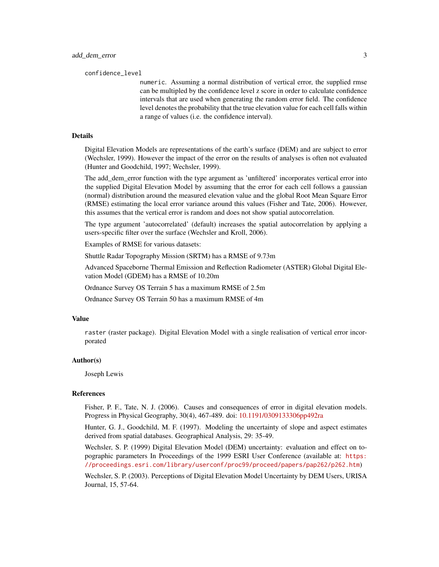confidence\_level

numeric. Assuming a normal distribution of vertical error, the supplied rmse can be multipled by the confidence level z score in order to calculate confidence intervals that are used when generating the random error field. The confidence level denotes the probability that the true elevation value for each cell falls within a range of values (i.e. the confidence interval).

#### Details

Digital Elevation Models are representations of the earth's surface (DEM) and are subject to error (Wechsler, 1999). However the impact of the error on the results of analyses is often not evaluated (Hunter and Goodchild, 1997; Wechsler, 1999).

The add\_dem\_error function with the type argument as 'unfiltered' incorporates vertical error into the supplied Digital Elevation Model by assuming that the error for each cell follows a gaussian (normal) distribution around the measured elevation value and the global Root Mean Square Error (RMSE) estimating the local error variance around this values (Fisher and Tate, 2006). However, this assumes that the vertical error is random and does not show spatial autocorrelation.

The type argument 'autocorrelated' (default) increases the spatial autocorrelation by applying a users-specific filter over the surface (Wechsler and Kroll, 2006).

Examples of RMSE for various datasets:

Shuttle Radar Topography Mission (SRTM) has a RMSE of 9.73m

Advanced Spaceborne Thermal Emission and Reflection Radiometer (ASTER) Global Digital Elevation Model (GDEM) has a RMSE of 10.20m

Ordnance Survey OS Terrain 5 has a maximum RMSE of 2.5m

Ordnance Survey OS Terrain 50 has a maximum RMSE of 4m

#### Value

raster (raster package). Digital Elevation Model with a single realisation of vertical error incorporated

#### Author(s)

Joseph Lewis

# References

Fisher, P. F., Tate, N. J. (2006). Causes and consequences of error in digital elevation models. Progress in Physical Geography, 30(4), 467-489. doi: [10.1191/0309133306pp492ra](https://doi.org/10.1191/0309133306pp492ra)

Hunter, G. J., Goodchild, M. F. (1997). Modeling the uncertainty of slope and aspect estimates derived from spatial databases. Geographical Analysis, 29: 35-49.

Wechsler, S. P. (1999) Digital Elevation Model (DEM) uncertainty: evaluation and effect on topographic parameters In Proceedings of the 1999 ESRI User Conference (available at: [https:](https://proceedings.esri.com/library/userconf/proc99/proceed/papers/pap262/p262.htm) [//proceedings.esri.com/library/userconf/proc99/proceed/papers/pap262/p262.htm](https://proceedings.esri.com/library/userconf/proc99/proceed/papers/pap262/p262.htm))

Wechsler, S. P. (2003). Perceptions of Digital Elevation Model Uncertainty by DEM Users, URISA Journal, 15, 57-64.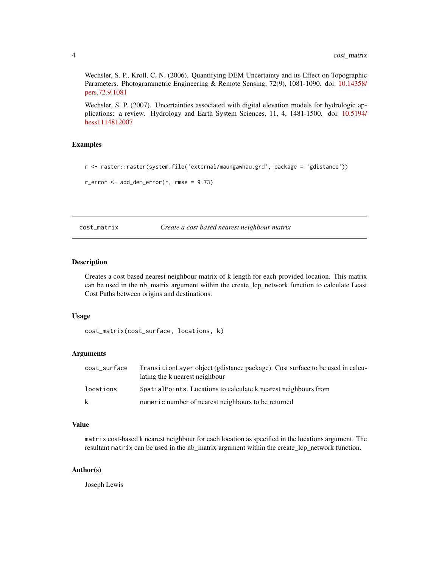<span id="page-3-0"></span>Wechsler, S. P., Kroll, C. N. (2006). Quantifying DEM Uncertainty and its Effect on Topographic Parameters. Photogrammetric Engineering & Remote Sensing, 72(9), 1081-1090. doi: [10.14358/](https://doi.org/10.14358/pers.72.9.1081) [pers.72.9.1081](https://doi.org/10.14358/pers.72.9.1081)

Wechsler, S. P. (2007). Uncertainties associated with digital elevation models for hydrologic applications: a review. Hydrology and Earth System Sciences, 11, 4, 1481-1500. doi: [10.5194/](https://doi.org/10.5194/hess-11-1481-2007) [hess1114812007](https://doi.org/10.5194/hess-11-1481-2007)

# Examples

```
r <- raster::raster(system.file('external/maungawhau.grd', package = 'gdistance'))
```

```
r_error \leq add_dem_error(r, rms = 9.73)
```
cost\_matrix *Create a cost based nearest neighbour matrix*

# Description

Creates a cost based nearest neighbour matrix of k length for each provided location. This matrix can be used in the nb\_matrix argument within the create\_lcp\_network function to calculate Least Cost Paths between origins and destinations.

#### Usage

cost\_matrix(cost\_surface, locations, k)

# Arguments

| cost_surface | TransitionLayer object (gdistance package). Cost surface to be used in calcu-<br>lating the k nearest neighbour |
|--------------|-----------------------------------------------------------------------------------------------------------------|
| locations    | Spatial Points. Locations to calculate k nearest neighbours from                                                |
| k            | numeric number of nearest neighbours to be returned                                                             |

# Value

matrix cost-based k nearest neighbour for each location as specified in the locations argument. The resultant matrix can be used in the nb\_matrix argument within the create\_lcp\_network function.

#### Author(s)

Joseph Lewis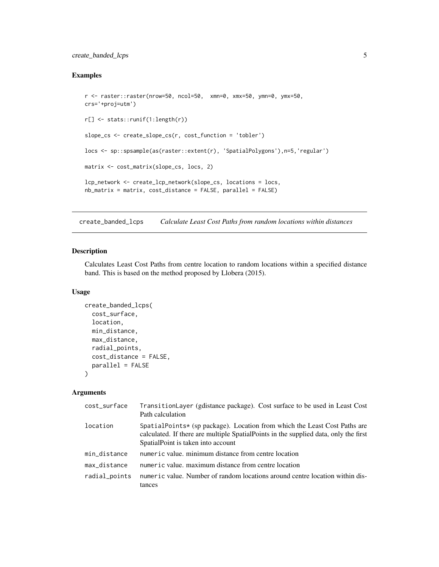# <span id="page-4-0"></span>create\_banded\_lcps 5

# Examples

```
r <- raster::raster(nrow=50, ncol=50, xmn=0, xmx=50, ymn=0, ymx=50,
crs='+proj=utm')
r[] <- stats::runif(1:length(r))
slope_cs <- create_slope_cs(r, cost_function = 'tobler')
locs <- sp::spsample(as(raster::extent(r), 'SpatialPolygons'),n=5,'regular')
matrix <- cost_matrix(slope_cs, locs, 2)
lcp_network <- create_lcp_network(slope_cs, locations = locs,
nb_matrix = matrix, cost_distance = FALSE, parallel = FALSE)
```
create\_banded\_lcps *Calculate Least Cost Paths from random locations within distances*

# Description

Calculates Least Cost Paths from centre location to random locations within a specified distance band. This is based on the method proposed by Llobera (2015).

# Usage

```
create_banded_lcps(
  cost_surface,
  location,
 min_distance,
 max_distance,
  radial_points,
  cost_distance = FALSE,
 parallel = FALSE
\mathcal{L}
```

| cost_surface  | TransitionLayer (gdistance package). Cost surface to be used in Least Cost<br>Path calculation                                                                                                          |
|---------------|---------------------------------------------------------------------------------------------------------------------------------------------------------------------------------------------------------|
| location      | SpatialPoints* (sp package). Location from which the Least Cost Paths are<br>calculated. If there are multiple SpatialPoints in the supplied data, only the first<br>SpatialPoint is taken into account |
| min_distance  | numeric value, minimum distance from centre location                                                                                                                                                    |
| max_distance  | numeric value, maximum distance from centre location                                                                                                                                                    |
| radial_points | numeric value. Number of random locations around centre location within dis-<br>tances                                                                                                                  |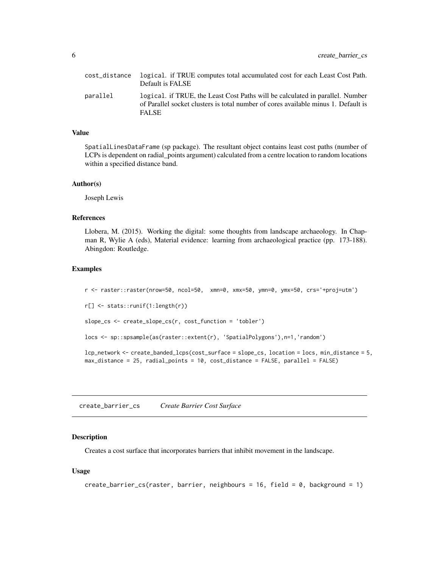<span id="page-5-0"></span>

| cost distance | logical. if TRUE computes total accumulated cost for each Least Cost Path.<br>Default is FALSE                                                                                      |
|---------------|-------------------------------------------------------------------------------------------------------------------------------------------------------------------------------------|
| parallel      | logical. if TRUE, the Least Cost Paths will be calculated in parallel. Number<br>of Parallel socket clusters is total number of cores available minus 1. Default is<br><b>FALSE</b> |

# Value

SpatialLinesDataFrame (sp package). The resultant object contains least cost paths (number of LCPs is dependent on radial\_points argument) calculated from a centre location to random locations within a specified distance band.

#### Author(s)

Joseph Lewis

# References

Llobera, M. (2015). Working the digital: some thoughts from landscape archaeology. In Chapman R, Wylie A (eds), Material evidence: learning from archaeological practice (pp. 173-188). Abingdon: Routledge.

#### Examples

r <- raster::raster(nrow=50, ncol=50, xmn=0, xmx=50, ymn=0, ymx=50, crs='+proj=utm') r[] <- stats::runif(1:length(r)) slope\_cs <- create\_slope\_cs(r, cost\_function = 'tobler') locs <- sp::spsample(as(raster::extent(r), 'SpatialPolygons'),n=1,'random') lcp\_network <- create\_banded\_lcps(cost\_surface = slope\_cs, location = locs, min\_distance = 5, max\_distance = 25, radial\_points = 10, cost\_distance = FALSE, parallel = FALSE)

create\_barrier\_cs *Create Barrier Cost Surface*

# Description

Creates a cost surface that incorporates barriers that inhibit movement in the landscape.

# Usage

```
create_barrier_cs(raster, barrier, neighbours = 16, field = 0, background = 1)
```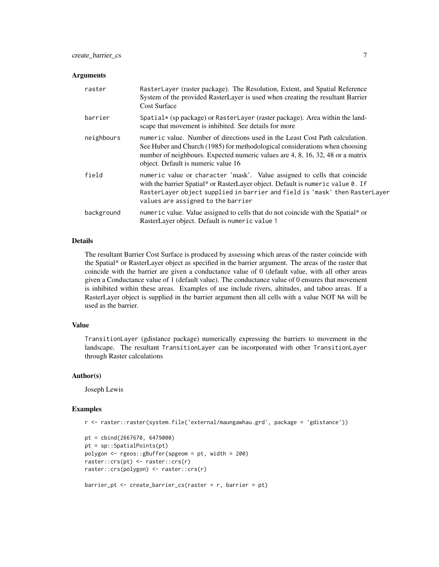#### **Arguments**

| raster     | RasterLayer (raster package). The Resolution, Extent, and Spatial Reference<br>System of the provided RasterLayer is used when creating the resultant Barrier<br><b>Cost Surface</b>                                                                                                 |
|------------|--------------------------------------------------------------------------------------------------------------------------------------------------------------------------------------------------------------------------------------------------------------------------------------|
| barrier    | Spatial $\star$ (sp package) or RasterLayer (raster package). Area within the land-<br>scape that movement is inhibited. See details for more                                                                                                                                        |
| neighbours | numeric value. Number of directions used in the Least Cost Path calculation.<br>See Huber and Church (1985) for methodological considerations when choosing<br>number of neighbours. Expected numeric values are 4, 8, 16, 32, 48 or a matrix<br>object. Default is numeric value 16 |
| field      | numeric value or character 'mask'. Value assigned to cells that coincide<br>with the barrier Spatial* or RasterLayer object. Default is numeric value 0. If<br>RasterLayer object supplied in barrier and field is 'mask' then RasterLayer<br>values are assigned to the barrier     |
| background | numeric value. Value assigned to cells that do not coincide with the Spatial* or<br>RasterLayer object. Default is numeric value 1                                                                                                                                                   |

# Details

The resultant Barrier Cost Surface is produced by assessing which areas of the raster coincide with the Spatial\* or RasterLayer object as specified in the barrier argument. The areas of the raster that coincide with the barrier are given a conductance value of 0 (default value, with all other areas given a Conductance value of 1 (default value). The conductance value of 0 ensures that movement is inhibited within these areas. Examples of use include rivers, altitudes, and taboo areas. If a RasterLayer object is supplied in the barrier argument then all cells with a value NOT NA will be used as the barrier.

#### Value

TransitionLayer (gdistance package) numerically expressing the barriers to movement in the landscape. The resultant TransitionLayer can be incorporated with other TransitionLayer through Raster calculations

#### Author(s)

Joseph Lewis

#### Examples

```
r <- raster::raster(system.file('external/maungawhau.grd', package = 'gdistance'))
```

```
pt = cbind(2667670, 6479000)
pt = sp::SpatialPoints(pt)
polygon <- rgeos::gBuffer(spgeom = pt, width = 200)
raster::crs(pt) <- raster::crs(r)
raster::crs(polygon) <- raster::crs(r)
barrier_pt <- create_barrier_cs(raster = r, barrier = pt)
```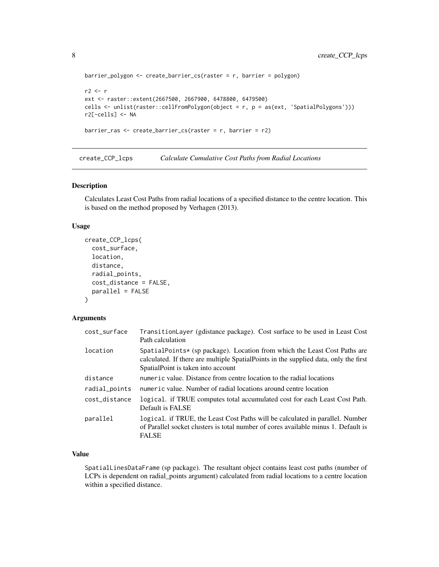```
barrier_polygon <- create_barrier_cs(raster = r, barrier = polygon)
r2 < rext <- raster::extent(2667500, 2667900, 6478800, 6479500)
cells <- unlist(raster::cellFromPolygon(object = r, p = as(ext, 'SpatialPolygons')))
r2[-cells] <- NA
barrier_ras <- create_barrier_cs(raster = r, barrier = r2)
```
create\_CCP\_lcps *Calculate Cumulative Cost Paths from Radial Locations*

# Description

Calculates Least Cost Paths from radial locations of a specified distance to the centre location. This is based on the method proposed by Verhagen (2013).

# Usage

```
create_CCP_lcps(
  cost_surface,
  location,
  distance,
  radial_points,
  cost_distance = FALSE,
  parallel = FALSE
\mathcal{L}
```
# Arguments

| cost_surface  | TransitionLayer (gdistance package). Cost surface to be used in Least Cost<br>Path calculation                                                                                                          |
|---------------|---------------------------------------------------------------------------------------------------------------------------------------------------------------------------------------------------------|
| location      | SpatialPoints* (sp package). Location from which the Least Cost Paths are<br>calculated. If there are multiple SpatialPoints in the supplied data, only the first<br>SpatialPoint is taken into account |
| distance      | numeric value. Distance from centre location to the radial locations                                                                                                                                    |
| radial_points | numeric value. Number of radial locations around centre location                                                                                                                                        |
| cost distance | logical. if TRUE computes total accumulated cost for each Least Cost Path.<br>Default is FALSE                                                                                                          |
| parallel      | logical. if TRUE, the Least Cost Paths will be calculated in parallel. Number<br>of Parallel socket clusters is total number of cores available minus 1. Default is<br><b>FALSE</b>                     |

# Value

SpatialLinesDataFrame (sp package). The resultant object contains least cost paths (number of LCPs is dependent on radial\_points argument) calculated from radial locations to a centre location within a specified distance.

<span id="page-7-0"></span>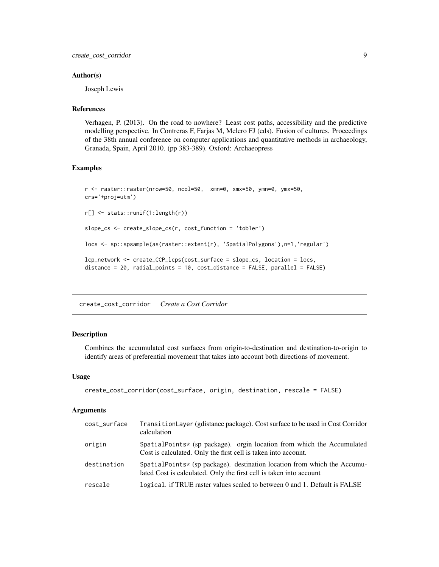# <span id="page-8-0"></span>Author(s)

Joseph Lewis

# References

Verhagen, P. (2013). On the road to nowhere? Least cost paths, accessibility and the predictive modelling perspective. In Contreras F, Farjas M, Melero FJ (eds). Fusion of cultures. Proceedings of the 38th annual conference on computer applications and quantitative methods in archaeology, Granada, Spain, April 2010. (pp 383-389). Oxford: Archaeopress

# Examples

```
r <- raster::raster(nrow=50, ncol=50, xmn=0, xmx=50, ymn=0, ymx=50,
crs='+proj=utm')
r[] <- stats::runif(1:length(r))
slope_cs <- create_slope_cs(r, cost_function = 'tobler')
locs <- sp::spsample(as(raster::extent(r), 'SpatialPolygons'),n=1,'regular')
lcp_network <- create_CCP_lcps(cost_surface = slope_cs, location = locs,
distance = 20, radial_points = 10, cost_distance = FALSE, parallel = FALSE)
```
create\_cost\_corridor *Create a Cost Corridor*

# **Description**

Combines the accumulated cost surfaces from origin-to-destination and destination-to-origin to identify areas of preferential movement that takes into account both directions of movement.

# Usage

```
create_cost_corridor(cost_surface, origin, destination, rescale = FALSE)
```

| cost_surface | TransitionLayer (gdistance package). Cost surface to be used in Cost Corridor<br>calculation                                                    |
|--------------|-------------------------------------------------------------------------------------------------------------------------------------------------|
| origin       | SpatialPoints* (sp package). orgin location from which the Accumulated<br>Cost is calculated. Only the first cell is taken into account.        |
| destination  | SpatialPoints* (sp package). destination location from which the Accumu-<br>lated Cost is calculated. Only the first cell is taken into account |
| rescale      | logical. if TRUE raster values scaled to between 0 and 1. Default is FALSE                                                                      |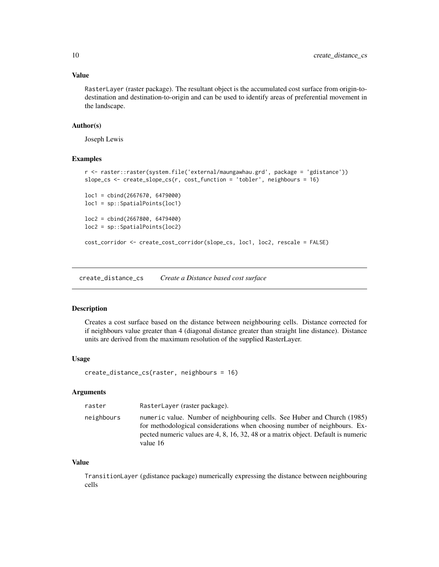# <span id="page-9-0"></span>Value

RasterLayer (raster package). The resultant object is the accumulated cost surface from origin-todestination and destination-to-origin and can be used to identify areas of preferential movement in the landscape.

# Author(s)

Joseph Lewis

# Examples

```
r <- raster::raster(system.file('external/maungawhau.grd', package = 'gdistance'))
slope_cs <- create_slope_cs(r, cost_function = 'tobler', neighbours = 16)
loc1 = cbind(2667670, 6479000)
loc1 = sp::SpatialPoints(loc1)
loc2 = cbind(2667800, 6479400)
loc2 = sp::SpatialPoints(loc2)
cost_corridor <- create_cost_corridor(slope_cs, loc1, loc2, rescale = FALSE)
```
create\_distance\_cs *Create a Distance based cost surface*

# Description

Creates a cost surface based on the distance between neighbouring cells. Distance corrected for if neighbours value greater than 4 (diagonal distance greater than straight line distance). Distance units are derived from the maximum resolution of the supplied RasterLayer.

#### Usage

create\_distance\_cs(raster, neighbours = 16)

# Arguments

| raster     | RasterLayer (raster package).                                                                                                                                                                                                                          |
|------------|--------------------------------------------------------------------------------------------------------------------------------------------------------------------------------------------------------------------------------------------------------|
| neighbours | numeric value. Number of neighbouring cells. See Huber and Church (1985)<br>for methodological considerations when choosing number of neighbours. Ex-<br>pected numeric values are 4, 8, 16, 32, 48 or a matrix object. Default is numeric<br>value 16 |

#### Value

TransitionLayer (gdistance package) numerically expressing the distance between neighbouring cells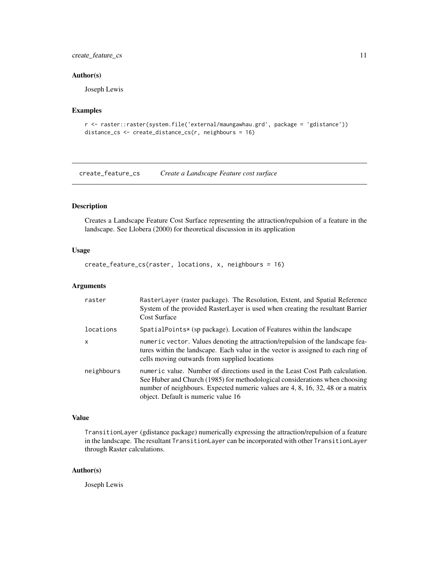# <span id="page-10-0"></span>create\_feature\_cs 11

# Author(s)

Joseph Lewis

# Examples

```
r <- raster::raster(system.file('external/maungawhau.grd', package = 'gdistance'))
distance_cs <- create_distance_cs(r, neighbours = 16)
```
create\_feature\_cs *Create a Landscape Feature cost surface*

# Description

Creates a Landscape Feature Cost Surface representing the attraction/repulsion of a feature in the landscape. See Llobera (2000) for theoretical discussion in its application

# Usage

create\_feature\_cs(raster, locations, x, neighbours = 16)

# Arguments

| raster       | RasterLayer (raster package). The Resolution, Extent, and Spatial Reference<br>System of the provided RasterLayer is used when creating the resultant Barrier<br><b>Cost Surface</b>                                                                                                 |
|--------------|--------------------------------------------------------------------------------------------------------------------------------------------------------------------------------------------------------------------------------------------------------------------------------------|
| locations    | SpatialPoints* (sp package). Location of Features within the landscape                                                                                                                                                                                                               |
| $\mathsf{x}$ | numeric vector. Values denoting the attraction/repulsion of the landscape fea-<br>tures within the landscape. Each value in the vector is assigned to each ring of<br>cells moving outwards from supplied locations                                                                  |
| neighbours   | numeric value. Number of directions used in the Least Cost Path calculation.<br>See Huber and Church (1985) for methodological considerations when choosing<br>number of neighbours. Expected numeric values are 4, 8, 16, 32, 48 or a matrix<br>object. Default is numeric value 16 |

# Value

TransitionLayer (gdistance package) numerically expressing the attraction/repulsion of a feature in the landscape. The resultant TransitionLayer can be incorporated with other TransitionLayer through Raster calculations.

#### Author(s)

Joseph Lewis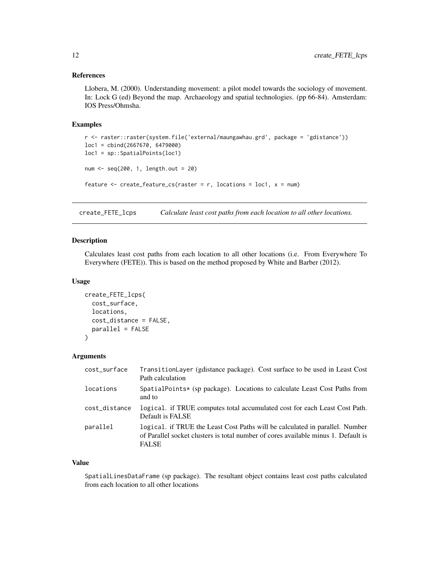# <span id="page-11-0"></span>References

Llobera, M. (2000). Understanding movement: a pilot model towards the sociology of movement. In: Lock G (ed) Beyond the map. Archaeology and spatial technologies. (pp 66-84). Amsterdam: IOS Press/Ohmsha.

#### Examples

```
r <- raster::raster(system.file('external/maungawhau.grd', package = 'gdistance'))
loc1 = cbind(2667670, 6479000)
loc1 = sp::SpatialPoints(loc1)
num <- seq(200, 1, length.out = 20)
feature \leq create_feature_cs(raster = r, locations = loc1, x = num)
```
create\_FETE\_lcps *Calculate least cost paths from each location to all other locations.*

# Description

Calculates least cost paths from each location to all other locations (i.e. From Everywhere To Everywhere (FETE)). This is based on the method proposed by White and Barber (2012).

#### Usage

```
create_FETE_lcps(
  cost_surface,
  locations,
  cost_distance = FALSE,
  parallel = FALSE
)
```
# Arguments

| cost_surface  | TransitionLayer (gdistance package). Cost surface to be used in Least Cost<br>Path calculation                                                                                     |
|---------------|------------------------------------------------------------------------------------------------------------------------------------------------------------------------------------|
| locations     | SpatialPoints* (sp package). Locations to calculate Least Cost Paths from<br>and to                                                                                                |
| cost_distance | logical. if TRUE computes total accumulated cost for each Least Cost Path.<br>Default is FALSE                                                                                     |
| parallel      | logical. if TRUE the Least Cost Paths will be calculated in parallel. Number<br>of Parallel socket clusters is total number of cores available minus 1. Default is<br><b>FALSE</b> |

#### Value

SpatialLinesDataFrame (sp package). The resultant object contains least cost paths calculated from each location to all other locations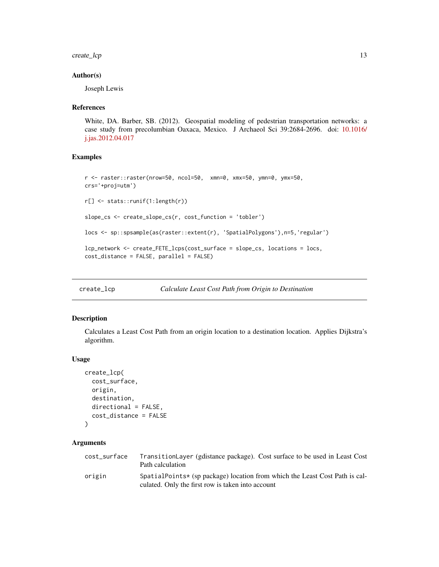<span id="page-12-0"></span>create\_lcp 13

#### Author(s)

Joseph Lewis

#### References

White, DA. Barber, SB. (2012). Geospatial modeling of pedestrian transportation networks: a case study from precolumbian Oaxaca, Mexico. J Archaeol Sci 39:2684-2696. doi: [10.1016/](https://doi.org/10.1016/j.jas.2012.04.017) [j.jas.2012.04.017](https://doi.org/10.1016/j.jas.2012.04.017)

# Examples

```
r <- raster::raster(nrow=50, ncol=50, xmn=0, xmx=50, ymn=0, ymx=50,
crs='+proj=utm')
r[] <- stats::runif(1:length(r))
slope_cs <- create_slope_cs(r, cost_function = 'tobler')
locs <- sp::spsample(as(raster::extent(r), 'SpatialPolygons'),n=5,'regular')
lcp_network <- create_FETE_lcps(cost_surface = slope_cs, locations = locs,
cost_distance = FALSE, parallel = FALSE)
```
create\_lcp *Calculate Least Cost Path from Origin to Destination*

# Description

Calculates a Least Cost Path from an origin location to a destination location. Applies Dijkstra's algorithm.

#### Usage

```
create_lcp(
  cost_surface,
  origin,
  destination,
 directional = FALSE,
  cost_distance = FALSE
)
```

| cost_surface | TransitionLayer (gdistance package). Cost surface to be used in Least Cost<br>Path calculation                                   |
|--------------|----------------------------------------------------------------------------------------------------------------------------------|
| origin       | SpatialPoints* (sp package) location from which the Least Cost Path is cal-<br>culated. Only the first row is taken into account |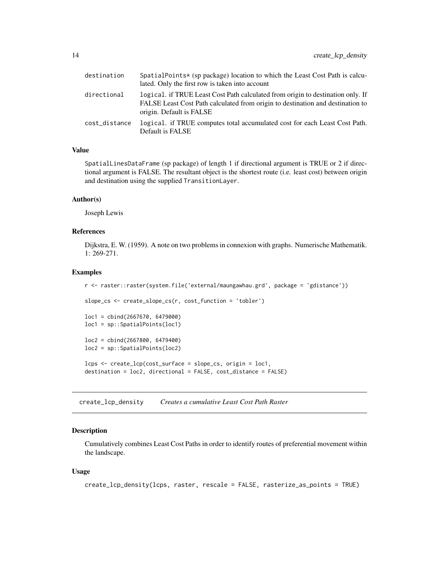<span id="page-13-0"></span>

| destination   | SpatialPoints* (sp package) location to which the Least Cost Path is calcu-<br>lated. Only the first row is taken into account                                                                |
|---------------|-----------------------------------------------------------------------------------------------------------------------------------------------------------------------------------------------|
| directional   | logical. if TRUE Least Cost Path calculated from origin to destination only. If<br>FALSE Least Cost Path calculated from origin to destination and destination to<br>origin. Default is FALSE |
| cost_distance | logical. if TRUE computes total accumulated cost for each Least Cost Path.<br>Default is FALSE                                                                                                |

# Value

SpatialLinesDataFrame (sp package) of length 1 if directional argument is TRUE or 2 if directional argument is FALSE. The resultant object is the shortest route (i.e. least cost) between origin and destination using the supplied TransitionLayer.

# Author(s)

Joseph Lewis

# References

Dijkstra, E. W. (1959). A note on two problems in connexion with graphs. Numerische Mathematik. 1: 269-271.

#### Examples

```
r <- raster::raster(system.file('external/maungawhau.grd', package = 'gdistance'))
slope_cs <- create_slope_cs(r, cost_function = 'tobler')
loc1 = cbind(2667670, 6479000)
loc1 = sp::SpatialPoints(loc1)
loc2 = cbind(2667800, 6479400)
loc2 = sp::SpatialPoints(loc2)
lcps <- create_lcp(cost_surface = slope_cs, origin = loc1,
destination = loc2, directional = FALSE, cost_distance = FALSE)
```
create\_lcp\_density *Creates a cumulative Least Cost Path Raster*

# **Description**

Cumulatively combines Least Cost Paths in order to identify routes of preferential movement within the landscape.

## Usage

```
create_lcp_density(lcps, raster, rescale = FALSE, rasterize_as_points = TRUE)
```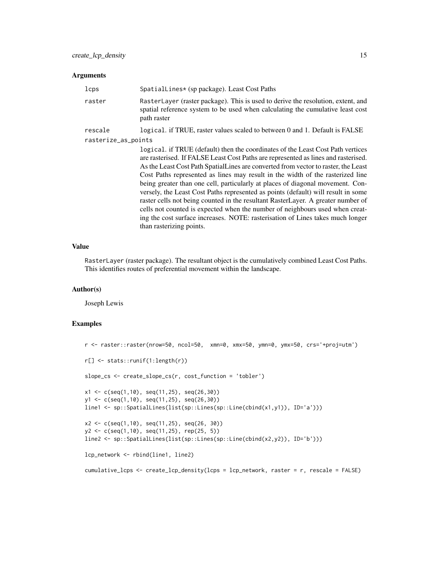# Arguments

| lcps                | SpatialLines* (sp package). Least Cost Paths                                                                                                                                                                                                                                                                                                                                                                                                                                                                                                                                                                                                                                                                                                                                                            |
|---------------------|---------------------------------------------------------------------------------------------------------------------------------------------------------------------------------------------------------------------------------------------------------------------------------------------------------------------------------------------------------------------------------------------------------------------------------------------------------------------------------------------------------------------------------------------------------------------------------------------------------------------------------------------------------------------------------------------------------------------------------------------------------------------------------------------------------|
| raster              | RasterLayer (raster package). This is used to derive the resolution, extent, and<br>spatial reference system to be used when calculating the cumulative least cost<br>path raster                                                                                                                                                                                                                                                                                                                                                                                                                                                                                                                                                                                                                       |
| rescale             | logical. if TRUE, raster values scaled to between 0 and 1. Default is FALSE                                                                                                                                                                                                                                                                                                                                                                                                                                                                                                                                                                                                                                                                                                                             |
| rasterize_as_points |                                                                                                                                                                                                                                                                                                                                                                                                                                                                                                                                                                                                                                                                                                                                                                                                         |
|                     | logical. if TRUE (default) then the coordinates of the Least Cost Path vertices<br>are rasterised. If FALSE Least Cost Paths are represented as lines and rasterised.<br>As the Least Cost Path Spatial Lines are converted from vector to raster, the Least<br>Cost Paths represented as lines may result in the width of the rasterized line<br>being greater than one cell, particularly at places of diagonal movement. Con-<br>versely, the Least Cost Paths represented as points (default) will result in some<br>raster cells not being counted in the resultant RasterLayer. A greater number of<br>cells not counted is expected when the number of neighbours used when creat-<br>ing the cost surface increases. NOTE: rasterisation of Lines takes much longer<br>than rasterizing points. |

# Value

RasterLayer (raster package). The resultant object is the cumulatively combined Least Cost Paths. This identifies routes of preferential movement within the landscape.

#### Author(s)

Joseph Lewis

# Examples

```
r <- raster::raster(nrow=50, ncol=50, xmn=0, xmx=50, ymn=0, ymx=50, crs='+proj=utm')
r[] <- stats::runif(1:length(r))
slope_cs <- create_slope_cs(r, cost_function = 'tobler')
x1 <- c(seq(1,10), seq(11,25), seq(26,30))
y1 <- c(seq(1,10), seq(11,25), seq(26,30))
line1 <- sp::SpatialLines(list(sp::Lines(sp::Line(cbind(x1,y1)), ID='a')))
x2 <- c(seq(1,10), seq(11,25), seq(26, 30))
y2 <- c(seq(1,10), seq(11,25), rep(25, 5))
line2 <- sp::SpatialLines(list(sp::Lines(sp::Line(cbind(x2,y2)), ID='b')))
lcp_network <- rbind(line1, line2)
cumulative_lcps <- create_lcp_density(lcps = lcp_network, raster = r, rescale = FALSE)
```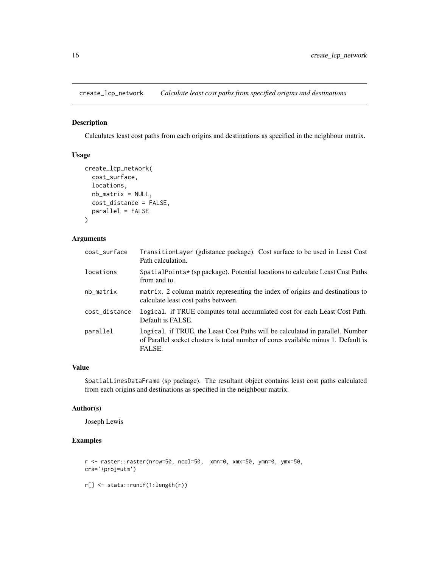<span id="page-15-0"></span>create\_lcp\_network *Calculate least cost paths from specified origins and destinations*

# Description

Calculates least cost paths from each origins and destinations as specified in the neighbour matrix.

# Usage

```
create_lcp_network(
  cost_surface,
  locations,
 nb_matrix = NULL,cost_distance = FALSE,
  parallel = FALSE
)
```
# Arguments

| cost_surface  | TransitionLayer (gdistance package). Cost surface to be used in Least Cost<br>Path calculation.                                                                               |
|---------------|-------------------------------------------------------------------------------------------------------------------------------------------------------------------------------|
| locations     | SpatialPoints* (sp package). Potential locations to calculate Least Cost Paths<br>from and to.                                                                                |
| nb_matrix     | matrix. 2 column matrix representing the index of origins and destinations to<br>calculate least cost paths between.                                                          |
| cost_distance | logical. if TRUE computes total accumulated cost for each Least Cost Path.<br>Default is FALSE.                                                                               |
| parallel      | logical. if TRUE, the Least Cost Paths will be calculated in parallel. Number<br>of Parallel socket clusters is total number of cores available minus 1. Default is<br>FALSE. |

# Value

SpatialLinesDataFrame (sp package). The resultant object contains least cost paths calculated from each origins and destinations as specified in the neighbour matrix.

#### Author(s)

Joseph Lewis

# Examples

```
r <- raster::raster(nrow=50, ncol=50, xmn=0, xmx=50, ymn=0, ymx=50,
crs='+proj=utm')
r[] <- stats::runif(1:length(r))
```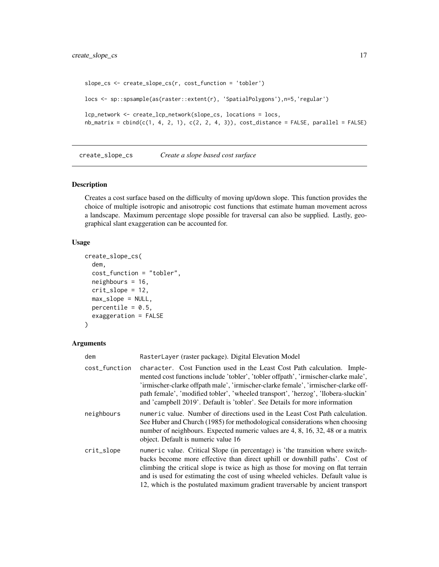```
slope_cs <- create_slope_cs(r, cost_function = 'tobler')
locs <- sp::spsample(as(raster::extent(r), 'SpatialPolygons'),n=5,'regular')
lcp_network <- create_lcp_network(slope_cs, locations = locs,
nb\_matrix = child(c(1, 4, 2, 1), c(2, 2, 4, 3)), cost\_distance = FALSE, parallel = FALSE)
```
create\_slope\_cs *Create a slope based cost surface*

# Description

Creates a cost surface based on the difficulty of moving up/down slope. This function provides the choice of multiple isotropic and anisotropic cost functions that estimate human movement across a landscape. Maximum percentage slope possible for traversal can also be supplied. Lastly, geographical slant exaggeration can be accounted for.

#### Usage

```
create_slope_cs(
  dem,
  cost_function = "tobler",
  neighbours = 16,
  crit_slope = 12,
  max_slope = NULL,
 percentile = 0.5,
  exaggeration = FALSE
)
```

| dem           | RasterLayer (raster package). Digital Elevation Model                                                                                                                                                                                                                                                                                                                                                                   |
|---------------|-------------------------------------------------------------------------------------------------------------------------------------------------------------------------------------------------------------------------------------------------------------------------------------------------------------------------------------------------------------------------------------------------------------------------|
| cost_function | character. Cost Function used in the Least Cost Path calculation. Imple-<br>mented cost functions include 'tobler', 'tobler offpath', 'irmischer-clarke male',<br>'irmischer-clarke offpath male', 'irmischer-clarke female', 'irmischer-clarke off-<br>path female', 'modified tobler', 'wheeled transport', 'herzog', 'llobera-sluckin'<br>and 'campbell 2019'. Default is 'tobler'. See Details for more information |
| neighbours    | numeric value. Number of directions used in the Least Cost Path calculation.<br>See Huber and Church (1985) for methodological considerations when choosing<br>number of neighbours. Expected numeric values are 4, 8, 16, 32, 48 or a matrix<br>object. Default is numeric value 16                                                                                                                                    |
| crit_slope    | numeric value. Critical Slope (in percentage) is 'the transition where switch-<br>backs become more effective than direct uphill or downhill paths'. Cost of<br>climbing the critical slope is twice as high as those for moving on flat terrain<br>and is used for estimating the cost of using wheeled vehicles. Default value is<br>12, which is the postulated maximum gradient traversable by ancient transport    |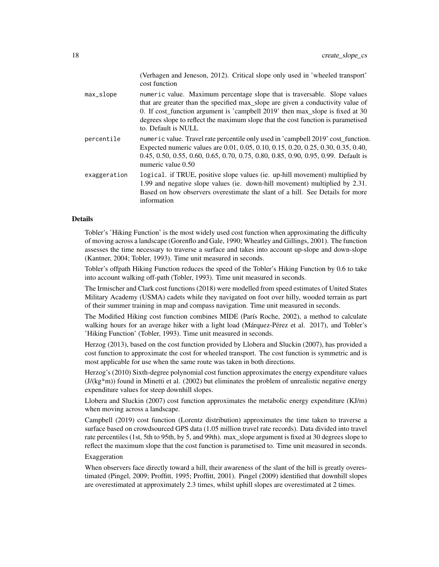|              | (Verhagen and Jeneson, 2012). Critical slope only used in 'wheeled transport'<br>cost function                                                                                                                                                                                                                                                           |
|--------------|----------------------------------------------------------------------------------------------------------------------------------------------------------------------------------------------------------------------------------------------------------------------------------------------------------------------------------------------------------|
| max_slope    | numeric value. Maximum percentage slope that is traversable. Slope values<br>that are greater than the specified max_slope are given a conductivity value of<br>0. If cost_function argument is 'campbell 2019' then max_slope is fixed at 30<br>degrees slope to reflect the maximum slope that the cost function is parametised<br>to. Default is NULL |
| percentile   | numeric value. Travel rate percentile only used in 'campbell 2019' cost_function.<br>Expected numeric values are 0.01, 0.05, 0.10, 0.15, 0.20, 0.25, 0.30, 0.35, 0.40,<br>0.45, 0.50, 0.55, 0.60, 0.65, 0.70, 0.75, 0.80, 0.85, 0.90, 0.95, 0.99. Default is<br>numeric value 0.50                                                                       |
| exaggeration | logical. if TRUE, positive slope values (ie. up-hill movement) multiplied by<br>1.99 and negative slope values (ie. down-hill movement) multiplied by 2.31.<br>Based on how observers overestimate the slant of a hill. See Details for more<br>information                                                                                              |

# Details

Tobler's 'Hiking Function' is the most widely used cost function when approximating the difficulty of moving across a landscape (Gorenflo and Gale, 1990; Wheatley and Gillings, 2001). The function assesses the time necessary to traverse a surface and takes into account up-slope and down-slope (Kantner, 2004; Tobler, 1993). Time unit measured in seconds.

Tobler's offpath Hiking Function reduces the speed of the Tobler's Hiking Function by 0.6 to take into account walking off-path (Tobler, 1993). Time unit measured in seconds.

The Irmischer and Clark cost functions (2018) were modelled from speed estimates of United States Military Academy (USMA) cadets while they navigated on foot over hilly, wooded terrain as part of their summer training in map and compass navigation. Time unit measured in seconds.

The Modified Hiking cost function combines MIDE (París Roche, 2002), a method to calculate walking hours for an average hiker with a light load (Márquez-Pérez et al. 2017), and Tobler's 'Hiking Function' (Tobler, 1993). Time unit measured in seconds.

Herzog (2013), based on the cost function provided by Llobera and Sluckin (2007), has provided a cost function to approximate the cost for wheeled transport. The cost function is symmetric and is most applicable for use when the same route was taken in both directions.

Herzog's (2010) Sixth-degree polynomial cost function approximates the energy expenditure values (J/(kg\*m)) found in Minetti et al. (2002) but eliminates the problem of unrealistic negative energy expenditure values for steep downhill slopes.

Llobera and Sluckin (2007) cost function approximates the metabolic energy expenditure (KJ/m) when moving across a landscape.

Campbell (2019) cost function (Lorentz distribution) approximates the time taken to traverse a surface based on crowdsourced GPS data (1.05 million travel rate records). Data divided into travel rate percentiles (1st, 5th to 95th, by 5, and 99th). max\_slope argument is fixed at 30 degrees slope to reflect the maximum slope that the cost function is parametised to. Time unit measured in seconds.

# Exaggeration

When observers face directly toward a hill, their awareness of the slant of the hill is greatly overestimated (Pingel, 2009; Proffitt, 1995; Proffitt, 2001). Pingel (2009) identified that downhill slopes are overestimated at approximately 2.3 times, whilst uphill slopes are overestimated at 2 times.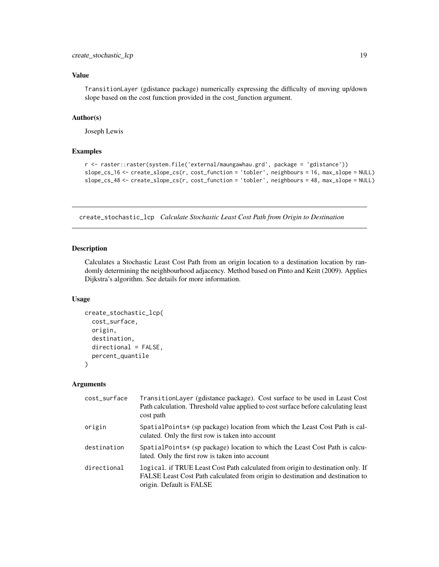# <span id="page-18-0"></span>Value

TransitionLayer (gdistance package) numerically expressing the difficulty of moving up/down slope based on the cost function provided in the cost\_function argument.

# Author(s)

Joseph Lewis

#### Examples

```
r <- raster::raster(system.file('external/maungawhau.grd', package = 'gdistance'))
slope_cs_16 <- create_slope_cs(r, cost_function = 'tobler', neighbours = 16, max_slope = NULL)
slope_cs_48 <- create_slope_cs(r, cost_function = 'tobler', neighbours = 48, max_slope = NULL)
```
create\_stochastic\_lcp *Calculate Stochastic Least Cost Path from Origin to Destination*

# Description

Calculates a Stochastic Least Cost Path from an origin location to a destination location by randomly determining the neighbourhood adjacency. Method based on Pinto and Keitt (2009). Applies Dijkstra's algorithm. See details for more information.

#### Usage

```
create_stochastic_lcp(
  cost_surface,
 origin,
 destination,
 directional = FALSE,
 percent_quantile
\lambda
```

| cost_surface | Transition Layer (gdistance package). Cost surface to be used in Least Cost<br>Path calculation. Threshold value applied to cost surface before calculating least<br>cost path                |
|--------------|-----------------------------------------------------------------------------------------------------------------------------------------------------------------------------------------------|
| origin       | SpatialPoints* (sp package) location from which the Least Cost Path is cal-<br>culated. Only the first row is taken into account                                                              |
| destination  | SpatialPoints* (sp package) location to which the Least Cost Path is calcu-<br>lated. Only the first row is taken into account                                                                |
| directional  | logical. if TRUE Least Cost Path calculated from origin to destination only. If<br>FALSE Least Cost Path calculated from origin to destination and destination to<br>origin. Default is FALSE |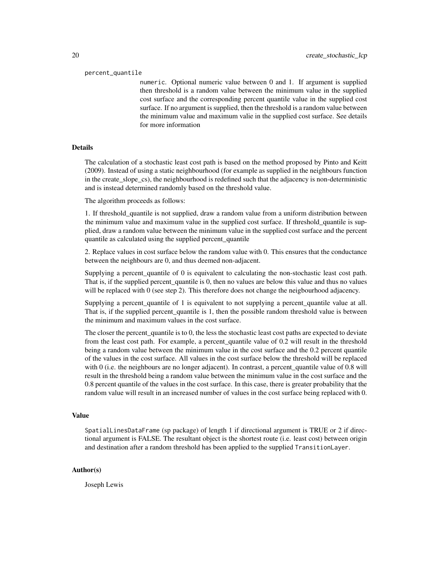#### percent\_quantile

numeric. Optional numeric value between 0 and 1. If argument is supplied then threshold is a random value between the minimum value in the supplied cost surface and the corresponding percent quantile value in the supplied cost surface. If no argument is supplied, then the threshold is a random value between the minimum value and maximum valie in the supplied cost surface. See details for more information

#### Details

The calculation of a stochastic least cost path is based on the method proposed by Pinto and Keitt (2009). Instead of using a static neighbourhood (for example as supplied in the neighbours function in the create slope cs), the neighbourhood is redefined such that the adjacency is non-deterministic and is instead determined randomly based on the threshold value.

The algorithm proceeds as follows:

1. If threshold\_quantile is not supplied, draw a random value from a uniform distribution between the minimum value and maximum value in the supplied cost surface. If threshold\_quantile is supplied, draw a random value between the minimum value in the supplied cost surface and the percent quantile as calculated using the supplied percent\_quantile

2. Replace values in cost surface below the random value with 0. This ensures that the conductance between the neighbours are 0, and thus deemed non-adjacent.

Supplying a percent quantile of 0 is equivalent to calculating the non-stochastic least cost path. That is, if the supplied percent quantile is 0, then no values are below this value and thus no values will be replaced with 0 (see step 2). This therefore does not change the neigbourhood adjacency.

Supplying a percent\_quantile of 1 is equivalent to not supplying a percent\_quantile value at all. That is, if the supplied percent\_quantile is 1, then the possible random threshold value is between the minimum and maximum values in the cost surface.

The closer the percent quantile is to 0, the less the stochastic least cost paths are expected to deviate from the least cost path. For example, a percent\_quantile value of 0.2 will result in the threshold being a random value between the minimum value in the cost surface and the 0.2 percent quantile of the values in the cost surface. All values in the cost surface below the threshold will be replaced with 0 (i.e. the neighbours are no longer adjacent). In contrast, a percent quantile value of 0.8 will result in the threshold being a random value between the minimum value in the cost surface and the 0.8 percent quantile of the values in the cost surface. In this case, there is greater probability that the random value will result in an increased number of values in the cost surface being replaced with 0.

#### Value

SpatialLinesDataFrame (sp package) of length 1 if directional argument is TRUE or 2 if directional argument is FALSE. The resultant object is the shortest route (i.e. least cost) between origin and destination after a random threshold has been applied to the supplied TransitionLayer.

#### Author(s)

Joseph Lewis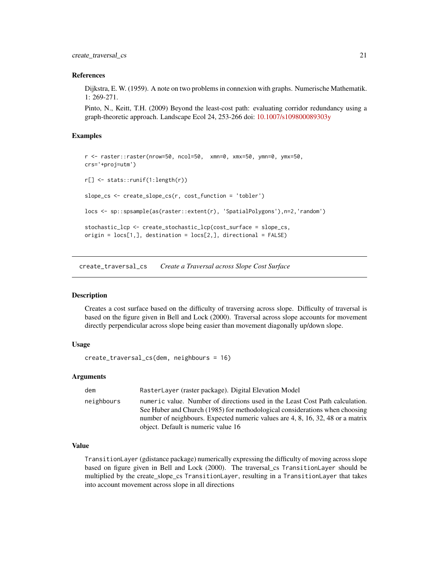<span id="page-20-0"></span>create\_traversal\_cs 21

#### References

Dijkstra, E. W. (1959). A note on two problems in connexion with graphs. Numerische Mathematik. 1: 269-271.

Pinto, N., Keitt, T.H. (2009) Beyond the least-cost path: evaluating corridor redundancy using a graph-theoretic approach. Landscape Ecol 24, 253-266 doi: [10.1007/s109800089303y](https://doi.org/10.1007/s10980-008-9303-y)

# Examples

```
r <- raster::raster(nrow=50, ncol=50, xmn=0, xmx=50, ymn=0, ymx=50,
crs='+proj=utm')
r[] <- stats::runif(1:length(r))
slope_cs <- create_slope_cs(r, cost_function = 'tobler')
locs <- sp::spsample(as(raster::extent(r), 'SpatialPolygons'),n=2,'random')
stochastic_lcp <- create_stochastic_lcp(cost_surface = slope_cs,
origin = locs[1,], destination = locs[2,], directional = FALSE)
```
create\_traversal\_cs *Create a Traversal across Slope Cost Surface*

# **Description**

Creates a cost surface based on the difficulty of traversing across slope. Difficulty of traversal is based on the figure given in Bell and Lock (2000). Traversal across slope accounts for movement directly perpendicular across slope being easier than movement diagonally up/down slope.

#### Usage

```
create_traversal_cs(dem, neighbours = 16)
```
# Arguments

| dem        | RasterLayer (raster package). Digital Elevation Model                                                                                                                                                                                                                                |
|------------|--------------------------------------------------------------------------------------------------------------------------------------------------------------------------------------------------------------------------------------------------------------------------------------|
| neighbours | numeric value. Number of directions used in the Least Cost Path calculation.<br>See Huber and Church (1985) for methodological considerations when choosing<br>number of neighbours. Expected numeric values are 4, 8, 16, 32, 48 or a matrix<br>object. Default is numeric value 16 |

# Value

TransitionLayer (gdistance package) numerically expressing the difficulty of moving across slope based on figure given in Bell and Lock (2000). The traversal\_cs TransitionLayer should be multiplied by the create\_slope\_cs TransitionLayer, resulting in a TransitionLayer that takes into account movement across slope in all directions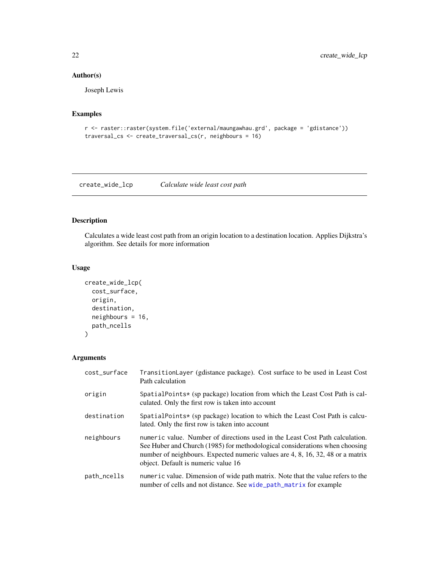# Author(s)

Joseph Lewis

# Examples

```
r <- raster::raster(system.file('external/maungawhau.grd', package = 'gdistance'))
traversal_cs <- create_traversal_cs(r, neighbours = 16)
```
<span id="page-21-1"></span>create\_wide\_lcp *Calculate wide least cost path*

# Description

Calculates a wide least cost path from an origin location to a destination location. Applies Dijkstra's algorithm. See details for more information

# Usage

```
create_wide_lcp(
  cost_surface,
 origin,
 destination,
 neighbours = 16,
 path_ncells
)
```

| cost_surface | TransitionLayer (gdistance package). Cost surface to be used in Least Cost<br>Path calculation                                                                                                                                                                                       |
|--------------|--------------------------------------------------------------------------------------------------------------------------------------------------------------------------------------------------------------------------------------------------------------------------------------|
| origin       | SpatialPoints* (sp package) location from which the Least Cost Path is cal-<br>culated. Only the first row is taken into account                                                                                                                                                     |
| destination  | SpatialPoints* (sp package) location to which the Least Cost Path is calcu-<br>lated. Only the first row is taken into account                                                                                                                                                       |
| neighbours   | numeric value. Number of directions used in the Least Cost Path calculation.<br>See Huber and Church (1985) for methodological considerations when choosing<br>number of neighbours. Expected numeric values are 4, 8, 16, 32, 48 or a matrix<br>object. Default is numeric value 16 |
| path_ncells  | numeric value. Dimension of wide path matrix. Note that the value refers to the<br>number of cells and not distance. See wide_path_matrix for example                                                                                                                                |

<span id="page-21-0"></span>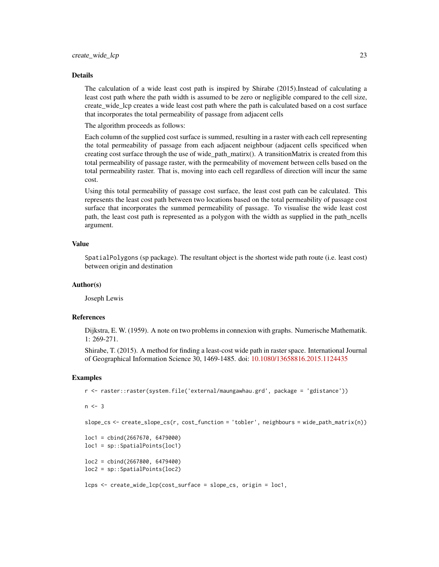#### Details

The calculation of a wide least cost path is inspired by Shirabe (2015).Instead of calculating a least cost path where the path width is assumed to be zero or negligible compared to the cell size, create wide lcp creates a wide least cost path where the path is calculated based on a cost surface that incorporates the total permeability of passage from adjacent cells

The algorithm proceeds as follows:

Each column of the supplied cost surface is summed, resulting in a raster with each cell representing the total permeability of passage from each adjacent neighbour (adjacent cells specificed when creating cost surface through the use of wide\_path\_matirx(). A transitionMatrix is created from this total permeability of passage raster, with the permeability of movement between cells based on the total permeability raster. That is, moving into each cell regardless of direction will incur the same cost.

Using this total permeability of passage cost surface, the least cost path can be calculated. This represents the least cost path between two locations based on the total permeability of passage cost surface that incorporates the summed permeability of passage. To visualise the wide least cost path, the least cost path is represented as a polygon with the width as supplied in the path\_ncells argument.

# Value

SpatialPolygons (sp package). The resultant object is the shortest wide path route (i.e. least cost) between origin and destination

#### Author(s)

Joseph Lewis

#### References

Dijkstra, E. W. (1959). A note on two problems in connexion with graphs. Numerische Mathematik. 1: 269-271.

Shirabe, T. (2015). A method for finding a least-cost wide path in raster space. International Journal of Geographical Information Science 30, 1469-1485. doi: [10.1080/13658816.2015.1124435](https://doi.org/10.1080/13658816.2015.1124435)

# Examples

```
r <- raster::raster(system.file('external/maungawhau.grd', package = 'gdistance'))
```
 $n < -3$ 

```
slope_cs <- create_slope_cs(r, cost_function = 'tobler', neighbours = wide_path_matrix(n))
```

```
loc1 = cbind(2667670, 6479000)
loc1 = sp::SpatialPoints(loc1)
```
loc2 = cbind(2667800, 6479400) loc2 = sp::SpatialPoints(loc2)

```
lcps <- create_wide_lcp(cost_surface = slope_cs, origin = loc1,
```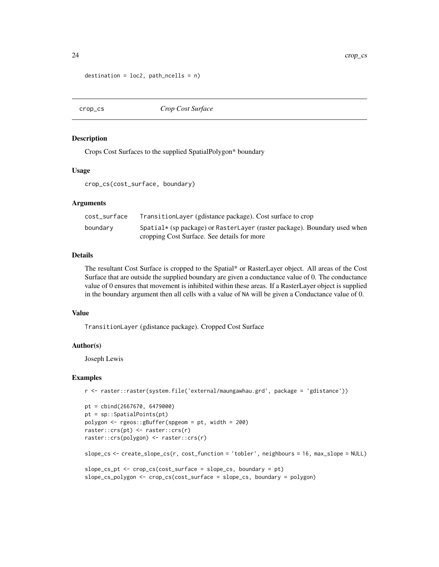```
destination = loc2, path_ncells = n)
```
crop\_cs *Crop Cost Surface*

#### Description

Crops Cost Surfaces to the supplied SpatialPolygon\* boundary

#### Usage

crop\_cs(cost\_surface, boundary)

#### **Arguments**

| cost surface | TransitionLayer (gdistance package). Cost surface to crop                        |
|--------------|----------------------------------------------------------------------------------|
| boundary     | Spatial $\star$ (sp package) or RasterLayer (raster package). Boundary used when |
|              | cropping Cost Surface. See details for more                                      |

# Details

The resultant Cost Surface is cropped to the Spatial\* or RasterLayer object. All areas of the Cost Surface that are outside the supplied boundary are given a conductance value of 0. The conductance value of 0 ensures that movement is inhibited within these areas. If a RasterLayer object is supplied in the boundary argument then all cells with a value of NA will be given a Conductance value of 0.

#### Value

TransitionLayer (gdistance package). Cropped Cost Surface

#### Author(s)

Joseph Lewis

#### Examples

```
r <- raster::raster(system.file('external/maungawhau.grd', package = 'gdistance'))
```

```
pt = cbind(2667670, 6479000)
pt = sp::SpatialPoints(pt)
polygon <- rgeos::gBuffer(spgeom = pt, width = 200)
raster::crs(pt) <- raster::crs(r)
raster::crs(polygon) <- raster::crs(r)
slope_cs <- create_slope_cs(r, cost_function = 'tobler', neighbours = 16, max_slope = NULL)
slope_cs_pt <- crop_cs(cost_surface = slope_cs, boundary = pt)
slope_cs_polygon <- crop_cs(cost_surface = slope_cs, boundary = polygon)
```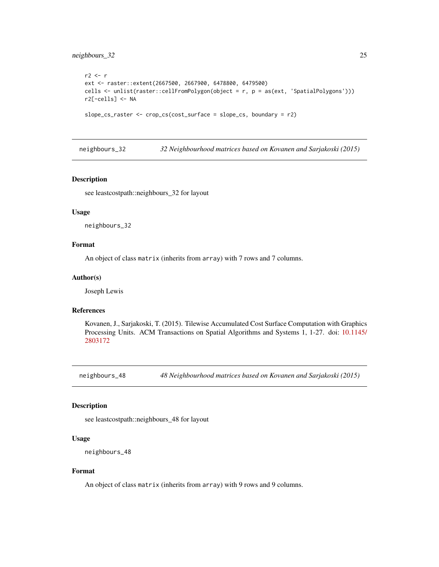# <span id="page-24-0"></span>neighbours\_32 25

```
r2 <- r
ext <- raster::extent(2667500, 2667900, 6478800, 6479500)
cells <- unlist(raster::cellFromPolygon(object = r, p = as(ext, 'SpatialPolygons')))
r2[-cells] <- NA
slope_cs_raster <- crop_cs(cost_surface = slope_cs, boundary = r2)
```
neighbours\_32 *32 Neighbourhood matrices based on Kovanen and Sarjakoski (2015)*

#### Description

see leastcostpath::neighbours\_32 for layout

# Usage

neighbours\_32

# Format

An object of class matrix (inherits from array) with 7 rows and 7 columns.

#### Author(s)

Joseph Lewis

#### References

Kovanen, J., Sarjakoski, T. (2015). Tilewise Accumulated Cost Surface Computation with Graphics Processing Units. ACM Transactions on Spatial Algorithms and Systems 1, 1-27. doi: [10.1145/](https://doi.org/10.1145/2803172) [2803172](https://doi.org/10.1145/2803172)

neighbours\_48 *48 Neighbourhood matrices based on Kovanen and Sarjakoski (2015)*

# Description

see leastcostpath::neighbours\_48 for layout

# Usage

neighbours\_48

# Format

An object of class matrix (inherits from array) with 9 rows and 9 columns.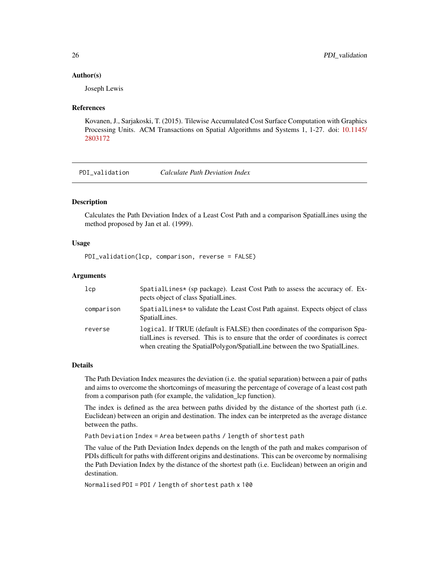#### <span id="page-25-0"></span>Author(s)

Joseph Lewis

### References

Kovanen, J., Sarjakoski, T. (2015). Tilewise Accumulated Cost Surface Computation with Graphics Processing Units. ACM Transactions on Spatial Algorithms and Systems 1, 1-27. doi: [10.1145/](https://doi.org/10.1145/2803172) [2803172](https://doi.org/10.1145/2803172)

PDI\_validation *Calculate Path Deviation Index*

# **Description**

Calculates the Path Deviation Index of a Least Cost Path and a comparison SpatialLines using the method proposed by Jan et al. (1999).

# Usage

PDI\_validation(lcp, comparison, reverse = FALSE)

# Arguments

| 1cp        | SpatialLines* (sp package). Least Cost Path to assess the accuracy of. Ex-<br>pects object of class SpatialLines.                                                                                                                               |
|------------|-------------------------------------------------------------------------------------------------------------------------------------------------------------------------------------------------------------------------------------------------|
| comparison | Spatial Lines* to validate the Least Cost Path against. Expects object of class<br>SpatialLines.                                                                                                                                                |
| reverse    | logical. If TRUE (default is FALSE) then coordinates of the comparison Spa-<br>tial Lines is reversed. This is to ensure that the order of coordinates is correct<br>when creating the SpatialPolygon/SpatialLine between the two SpatialLines. |

# Details

The Path Deviation Index measures the deviation (i.e. the spatial separation) between a pair of paths and aims to overcome the shortcomings of measuring the percentage of coverage of a least cost path from a comparison path (for example, the validation\_lcp function).

The index is defined as the area between paths divided by the distance of the shortest path (i.e. Euclidean) between an origin and destination. The index can be interpreted as the average distance between the paths.

Path Deviation Index = Area between paths / length of shortest path

The value of the Path Deviation Index depends on the length of the path and makes comparison of PDIs difficult for paths with different origins and destinations. This can be overcome by normalising the Path Deviation Index by the distance of the shortest path (i.e. Euclidean) between an origin and destination.

Normalised PDI = PDI / length of shortest path x 100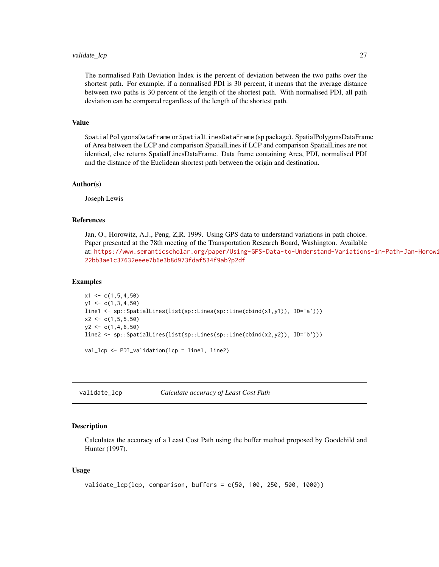# <span id="page-26-0"></span>validate\_lcp 27

The normalised Path Deviation Index is the percent of deviation between the two paths over the shortest path. For example, if a normalised PDI is 30 percent, it means that the average distance between two paths is 30 percent of the length of the shortest path. With normalised PDI, all path deviation can be compared regardless of the length of the shortest path.

#### Value

SpatialPolygonsDataFrame or SpatialLinesDataFrame (sp package). SpatialPolygonsDataFrame of Area between the LCP and comparison SpatialLines if LCP and comparison SpatialLines are not identical, else returns SpatialLinesDataFrame. Data frame containing Area, PDI, normalised PDI and the distance of the Euclidean shortest path between the origin and destination.

#### Author(s)

Joseph Lewis

# References

Jan, O., Horowitz, A.J., Peng, Z,R. 1999. Using GPS data to understand variations in path choice. Paper presented at the 78th meeting of the Transportation Research Board, Washington. Available at: [https://www.semanticscholar.org/paper/Using-GPS-Data-to-Understand-Variations](https://www.semanticscholar.org/paper/Using-GPS-Data-to-Understand-Variations-in-Path-Jan-Horowitz/22bb3ae1c37632eeee7b6e3b8d973fdaf534f9ab?p2df)-in-Path-Jan-Horowi [22bb3ae1c37632eeee7b6e3b8d973fdaf534f9ab?p2df](https://www.semanticscholar.org/paper/Using-GPS-Data-to-Understand-Variations-in-Path-Jan-Horowitz/22bb3ae1c37632eeee7b6e3b8d973fdaf534f9ab?p2df)

#### Examples

```
x1 \leftarrow c(1, 5, 4, 50)y1 \leftarrow c(1,3,4,50)line1 <- sp::SpatialLines(list(sp::Lines(sp::Line(cbind(x1,y1)), ID='a')))
x2 \leq -c(1, 5, 5, 50)y2 \leq c(1, 4, 6, 50)line2 <- sp::SpatialLines(list(sp::Lines(sp::Line(cbind(x2,y2)), ID='b')))
val_lcp <- PDI_validation(lcp = line1, line2)
```
validate\_lcp *Calculate accuracy of Least Cost Path*

#### Description

Calculates the accuracy of a Least Cost Path using the buffer method proposed by Goodchild and Hunter (1997).

#### Usage

```
validate_lcp(lcp, comparison, buffers = c(50, 100, 250, 500, 1000))
```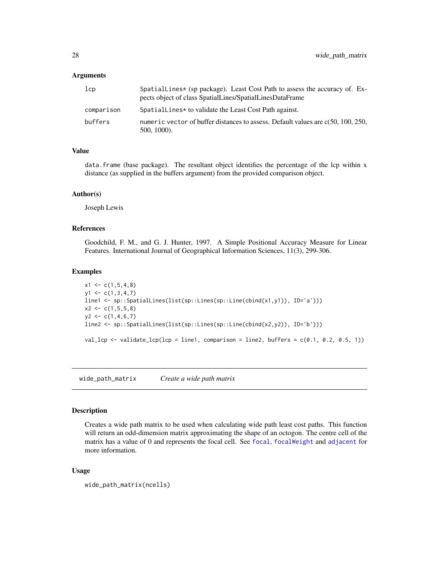# <span id="page-27-0"></span>**Arguments**

| 1cp        | Spatiallines* (sp package). Least Cost Path to assess the accuracy of. $Ex-$<br>pects object of class SpatialLines/SpatialLinesDataFrame |
|------------|------------------------------------------------------------------------------------------------------------------------------------------|
| comparison | SpatialLines* to validate the Least Cost Path against.                                                                                   |
| buffers    | numeric vector of buffer distances to assess. Default values are $c(50, 100, 250, 100)$<br>$500, 1000$ ).                                |

#### Value

data.frame (base package). The resultant object identifies the percentage of the lcp within x distance (as supplied in the buffers argument) from the provided comparison object.

#### Author(s)

Joseph Lewis

# References

Goodchild, F. M., and G. J. Hunter, 1997. A Simple Positional Accuracy Measure for Linear Features. International Journal of Geographical Information Sciences, 11(3), 299-306.

#### Examples

```
x1 \leftarrow c(1, 5, 4, 8)y1 \leftarrow c(1,3,4,7)line1 <- sp::SpatialLines(list(sp::Lines(sp::Line(cbind(x1,y1)), ID='a')))
x2 \leftarrow c(1, 5, 5, 8)y2 \leftarrow c(1, 4, 6, 7)line2 <- sp::SpatialLines(list(sp::Lines(sp::Line(cbind(x2,y2)), ID='b')))
val_lcp <- validate_lcp(lcp = line1, comparison = line2, buffers = c(0.1, 0.2, 0.5, 1))
```
<span id="page-27-1"></span>wide\_path\_matrix *Create a wide path matrix*

# Description

Creates a wide path matrix to be used when calculating wide path least cost paths. This function will return an odd-dimension matrix approximating the shape of an octogon. The centre cell of the matrix has a value of 0 and represents the [focal](#page-0-0) cell. See focal, focal Weight and [adjacent](#page-0-0) for more information.

#### Usage

```
wide_path_matrix(ncells)
```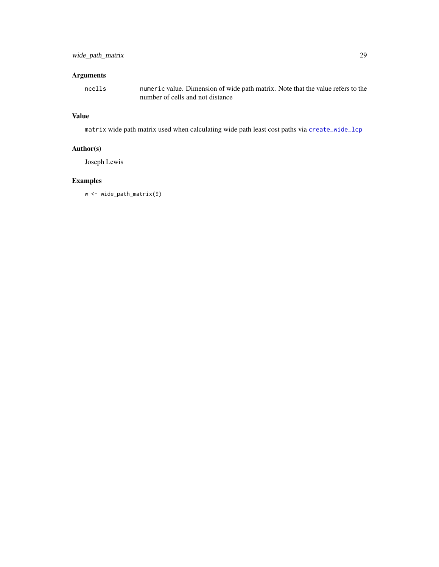# <span id="page-28-0"></span>Arguments

ncells numeric value. Dimension of wide path matrix. Note that the value refers to the number of cells and not distance

# Value

matrix wide path matrix used when calculating wide path least cost paths via [create\\_wide\\_lcp](#page-21-1)

# Author(s)

Joseph Lewis

# Examples

w <- wide\_path\_matrix(9)